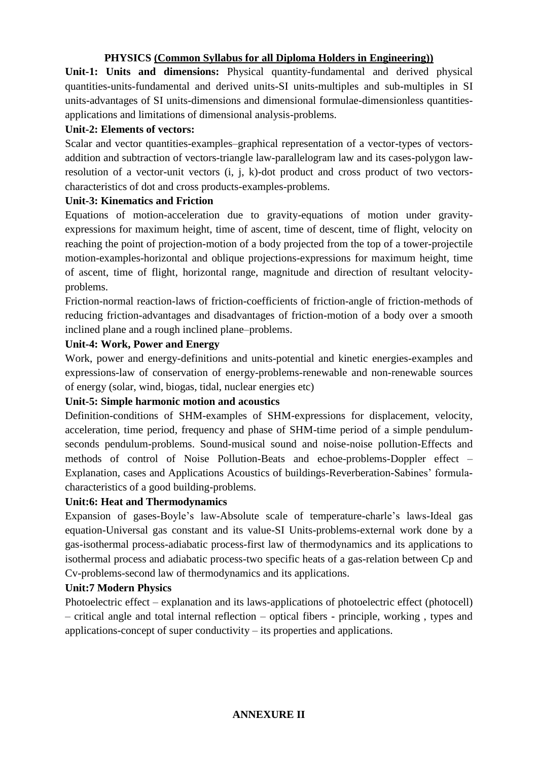# **PHYSICS (Common Syllabus for all Diploma Holders in Engineering))**

**Unit-1: Units and dimensions:** Physical quantity-fundamental and derived physical quantities-units-fundamental and derived units-SI units-multiples and sub-multiples in SI units-advantages of SI units-dimensions and dimensional formulae-dimensionless quantitiesapplications and limitations of dimensional analysis-problems.

## **Unit-2: Elements of vectors:**

Scalar and vector quantities-examples–graphical representation of a vector-types of vectorsaddition and subtraction of vectors-triangle law-parallelogram law and its cases-polygon lawresolution of a vector-unit vectors (i, j, k)-dot product and cross product of two vectorscharacteristics of dot and cross products-examples-problems.

## **Unit-3: Kinematics and Friction**

Equations of motion-acceleration due to gravity-equations of motion under gravityexpressions for maximum height, time of ascent, time of descent, time of flight, velocity on reaching the point of projection-motion of a body projected from the top of a tower-projectile motion-examples-horizontal and oblique projections-expressions for maximum height, time of ascent, time of flight, horizontal range, magnitude and direction of resultant velocityproblems.

Friction-normal reaction-laws of friction-coefficients of friction-angle of friction-methods of reducing friction-advantages and disadvantages of friction-motion of a body over a smooth inclined plane and a rough inclined plane–problems.

## **Unit-4: Work, Power and Energy**

Work, power and energy-definitions and units-potential and kinetic energies-examples and expressions-law of conservation of energy-problems-renewable and non-renewable sources of energy (solar, wind, biogas, tidal, nuclear energies etc)

## **Unit-5: Simple harmonic motion and acoustics**

Definition-conditions of SHM-examples of SHM-expressions for displacement, velocity, acceleration, time period, frequency and phase of SHM-time period of a simple pendulumseconds pendulum-problems. Sound-musical sound and noise-noise pollution-Effects and methods of control of Noise Pollution-Beats and echoe-problems-Doppler effect – Explanation, cases and Applications Acoustics of buildings-Reverberation-Sabines' formulacharacteristics of a good building-problems.

## **Unit:6: Heat and Thermodynamics**

Expansion of gases-Boyle's law-Absolute scale of temperature-charle's laws-Ideal gas equation-Universal gas constant and its value-SI Units-problems-external work done by a gas-isothermal process-adiabatic process-first law of thermodynamics and its applications to isothermal process and adiabatic process-two specific heats of a gas-relation between Cp and Cv-problems-second law of thermodynamics and its applications.

## **Unit:7 Modern Physics**

Photoelectric effect – explanation and its laws-applications of photoelectric effect (photocell) – critical angle and total internal reflection – optical fibers - principle, working , types and applications-concept of super conductivity – its properties and applications.